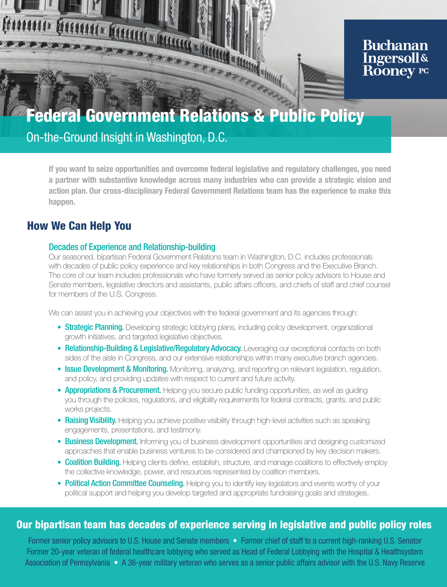

# **Buchanan Ingersoll& Rooney PC**

On-the-Ground Insight in Washington, D.C.

If you want to seize opportunities and overcome federal legislative and regulatory challenges, you need a partner with substantive knowledge across many industries who can provide a strategic vision and action plan. Our cross-disciplinary Federal Government Relations team has the experience to make this happen.

# How We Can Help You

## Decades of Experience and Relationship-building

Our seasoned, bipartisan Federal Government Relations team in Washington, D.C. includes professionals with decades of public policy experience and key relationships in both Congress and the Executive Branch. The core of our team includes professionals who have formerly served as senior policy advisors to House and Senate members, legislative directors and assistants, public affairs officers, and chiefs of staff and chief counsel for members of the U.S. Congress.

We can assist you in achieving your objectives with the federal government and its agencies through:

- Strategic Planning. Developing strategic lobbying plans, including policy development, organizational growth initiatives, and targeted legislative objectives.
- Relationship-Building & Legislative/Regulatory Advocacy. Leveraging our exceptional contacts on both sides of the aisle in Congress, and our extensive relationships within many executive branch agencies.
- Issue Development & Monitoring. Monitoring, analyzing, and reporting on relevant legislation, regulation, and policy, and providing updates with respect to current and future activity.
- **Appropriations & Procurement.** Helping you secure public funding opportunities, as well as guiding you through the policies, regulations, and eligibility requirements for federal contracts, grants, and public works projects.
- Raising Visibility. Helping you achieve positive visibility through high-level activities such as speaking engagements, presentations, and testimony.
- Business Development. Informing you of business development opportunities and designing customized approaches that enable business ventures to be considered and championed by key decision makers.
- Coalition Building. Helping clients define, establish, structure, and manage coalitions to effectively employ the collective knowledge, power, and resources represented by coalition members.
- Political Action Committee Counseling. Helping you to identify key legislators and events worthy of your political support and helping you develop targeted and appropriate fundraising goals and strategies.

## Our bipartisan team has decades of experience serving in legislative and public policy roles

Former senior policy advisors to U.S. House and Senate members • Former chief of staff to a current high-ranking U.S. Senator Former 20-year veteran of federal healthcare lobbying who served as Head of Federal Lobbying with the Hospital & Healthsystem Association of Pennsylvania • A 36-year military veteran who serves as a senior public affairs advisor with the U.S. Navy Reserve